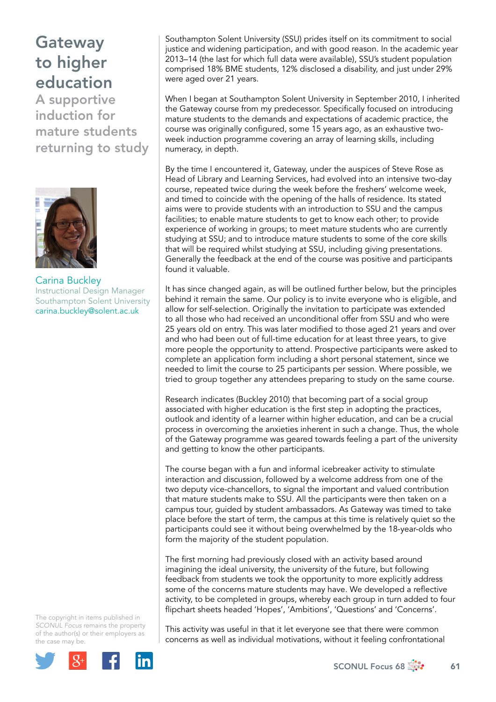## **Gateway** to higher education

A supportive induction for mature students returning to study



Carina Buckley Instructional Design Manager Southampton Solent University [carina.buckley@solent.ac.uk](mailto:carina.buckley@solent.ac.uk)

The copyright in items published in *SCONUL Focus* remains the property of the author(s) or their employers as the case may be.



Southampton Solent University (SSU) prides itself on its commitment to social justice and widening participation, and with good reason. In the academic year 2013–14 (the last for which full data were available), SSU's student population comprised 18% BME students, 12% disclosed a disability, and just under 29% were aged over 21 years.

When I began at Southampton Solent University in September 2010, I inherited the Gateway course from my predecessor. Specifically focused on introducing mature students to the demands and expectations of academic practice, the course was originally configured, some 15 years ago, as an exhaustive twoweek induction programme covering an array of learning skills, including numeracy, in depth.

By the time I encountered it, Gateway, under the auspices of Steve Rose as Head of Library and Learning Services, had evolved into an intensive two-day course, repeated twice during the week before the freshers' welcome week, and timed to coincide with the opening of the halls of residence. Its stated aims were to provide students with an introduction to SSU and the campus facilities; to enable mature students to get to know each other; to provide experience of working in groups; to meet mature students who are currently studying at SSU; and to introduce mature students to some of the core skills that will be required whilst studying at SSU, including giving presentations. Generally the feedback at the end of the course was positive and participants found it valuable.

It has since changed again, as will be outlined further below, but the principles behind it remain the same. Our policy is to invite everyone who is eligible, and allow for self-selection. Originally the invitation to participate was extended to all those who had received an unconditional offer from SSU and who were 25 years old on entry. This was later modified to those aged 21 years and over and who had been out of full-time education for at least three years, to give more people the opportunity to attend. Prospective participants were asked to complete an application form including a short personal statement, since we needed to limit the course to 25 participants per session. Where possible, we tried to group together any attendees preparing to study on the same course.

Research indicates (Buckley 2010) that becoming part of a social group associated with higher education is the first step in adopting the practices, outlook and identity of a learner within higher education, and can be a crucial process in overcoming the anxieties inherent in such a change. Thus, the whole of the Gateway programme was geared towards feeling a part of the university and getting to know the other participants.

The course began with a fun and informal icebreaker activity to stimulate interaction and discussion, followed by a welcome address from one of the two deputy vice-chancellors, to signal the important and valued contribution that mature students make to SSU. All the participants were then taken on a campus tour, guided by student ambassadors. As Gateway was timed to take place before the start of term, the campus at this time is relatively quiet so the participants could see it without being overwhelmed by the 18-year-olds who form the majority of the student population.

The first morning had previously closed with an activity based around imagining the ideal university, the university of the future, but following feedback from students we took the opportunity to more explicitly address some of the concerns mature students may have. We developed a reflective activity, to be completed in groups, whereby each group in turn added to four flipchart sheets headed 'Hopes', 'Ambitions', 'Questions' and 'Concerns'.

This activity was useful in that it let everyone see that there were common concerns as well as individual motivations, without it feeling confrontational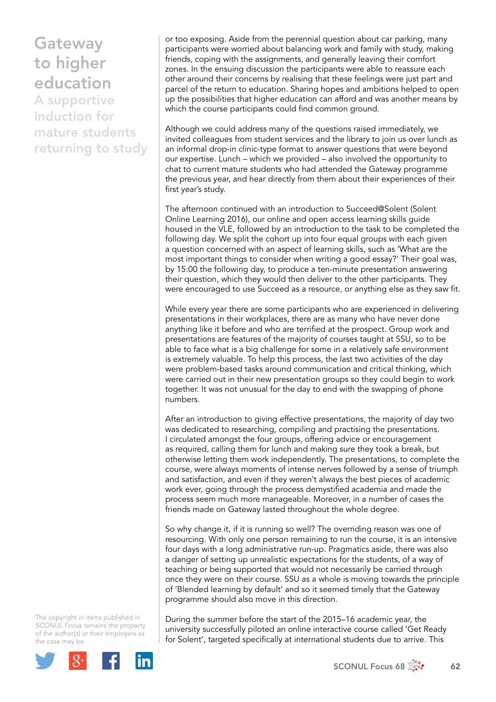## **Gateway** to higher education

A supportive induction for mature students returning to study

or too exposing. Aside from the perennial question about car parking, many participants were worried about balancing work and family with study, making friends, coping with the assignments, and generally leaving their comfort zones. In the ensuing discussion the participants were able to reassure each other around their concerns by realising that these feelings were just part and parcel of the return to education. Sharing hopes and ambitions helped to open up the possibilities that higher education can afford and was another means by which the course participants could find common ground.

Although we could address many of the questions raised immediately, we invited colleagues from student services and the library to join us over lunch as an informal drop-in clinic-type format to answer questions that were beyond our expertise. Lunch – which we provided – also involved the opportunity to chat to current mature students who had attended the Gateway programme the previous year, and hear directly from them about their experiences of their first year's study.

The afternoon continued with an introduction to Succeed@Solent (Solent Online Learning 2016), our online and open access learning skills guide housed in the VLE, followed by an introduction to the task to be completed the following day. We split the cohort up into four equal groups with each given a question concerned with an aspect of learning skills, such as 'What are the most important things to consider when writing a good essay?' Their goal was, by 15:00 the following day, to produce a ten-minute presentation answering their question, which they would then deliver to the other participants. They were encouraged to use Succeed as a resource, or anything else as they saw fit.

While every year there are some participants who are experienced in delivering presentations in their workplaces, there are as many who have never done anything like it before and who are terrified at the prospect. Group work and presentations are features of the majority of courses taught at SSU, so to be able to face what is a big challenge for some in a relatively safe environment is extremely valuable. To help this process, the last two activities of the day were problem-based tasks around communication and critical thinking, which were carried out in their new presentation groups so they could begin to work together. It was not unusual for the day to end with the swapping of phone numbers.

After an introduction to giving effective presentations, the majority of day two was dedicated to researching, compiling and practising the presentations. I circulated amongst the four groups, offering advice or encouragement as required, calling them for lunch and making sure they took a break, but otherwise letting them work independently. The presentations, to complete the course, were always moments of intense nerves followed by a sense of triumph and satisfaction, and even if they weren't always the best pieces of academic work ever, going through the process demystified academia and made the process seem much more manageable. Moreover, in a number of cases the friends made on Gateway lasted throughout the whole degree.

So why change it, if it is running so well? The overriding reason was one of resourcing. With only one person remaining to run the course, it is an intensive four days with a long administrative run-up. Pragmatics aside, there was also a danger of setting up unrealistic expectations for the students, of a way of teaching or being supported that would not necessarily be carried through once they were on their course. SSU as a whole is moving towards the principle of 'Blended learning by default' and so it seemed timely that the Gateway programme should also move in this direction.

The copyright in items published in *SCONUL Focus* remains the property of the author(s) or their employers as the case may be.



During the summer before the start of the 2015–16 academic year, the university successfully piloted an online interactive course called 'Get Ready for Solent', targeted specifically at international students due to arrive. This